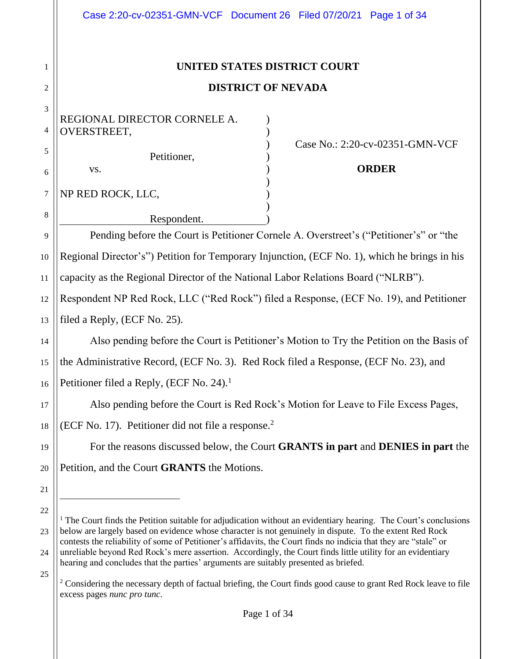|                  | Case 2:20-cv-02351-GMN-VCF Document 26 Filed 07/20/21 Page 1 of 34                                                                                                                                                                                                                                                                         |
|------------------|--------------------------------------------------------------------------------------------------------------------------------------------------------------------------------------------------------------------------------------------------------------------------------------------------------------------------------------------|
| 1<br>2           | UNITED STATES DISTRICT COURT<br><b>DISTRICT OF NEVADA</b>                                                                                                                                                                                                                                                                                  |
| 3<br>4<br>5<br>6 | REGIONAL DIRECTOR CORNELE A.<br>OVERSTREET,<br>Case No.: 2:20-cv-02351-GMN-VCF<br>Petitioner,<br><b>ORDER</b><br>VS.                                                                                                                                                                                                                       |
| $\tau$<br>8      | NP RED ROCK, LLC,<br>Respondent.                                                                                                                                                                                                                                                                                                           |
| 9                | Pending before the Court is Petitioner Cornele A. Overstreet's ("Petitioner's" or "the                                                                                                                                                                                                                                                     |
| 10               | Regional Director's") Petition for Temporary Injunction, (ECF No. 1), which he brings in his                                                                                                                                                                                                                                               |
| 11               | capacity as the Regional Director of the National Labor Relations Board ("NLRB").                                                                                                                                                                                                                                                          |
| 12               | Respondent NP Red Rock, LLC ("Red Rock") filed a Response, (ECF No. 19), and Petitioner                                                                                                                                                                                                                                                    |
| 13               | filed a Reply, (ECF No. 25).                                                                                                                                                                                                                                                                                                               |
| 14               | Also pending before the Court is Petitioner's Motion to Try the Petition on the Basis of                                                                                                                                                                                                                                                   |
| 15               | the Administrative Record, (ECF No. 3). Red Rock filed a Response, (ECF No. 23), and                                                                                                                                                                                                                                                       |
| 16               | Petitioner filed a Reply, (ECF No. 24). <sup>1</sup>                                                                                                                                                                                                                                                                                       |
| 17               | Also pending before the Court is Red Rock's Motion for Leave to File Excess Pages,                                                                                                                                                                                                                                                         |
| 18               | (ECF No. 17). Petitioner did not file a response. <sup>2</sup>                                                                                                                                                                                                                                                                             |
| 19               | For the reasons discussed below, the Court GRANTS in part and DENIES in part the                                                                                                                                                                                                                                                           |
| 20               | Petition, and the Court <b>GRANTS</b> the Motions.                                                                                                                                                                                                                                                                                         |
| 21               |                                                                                                                                                                                                                                                                                                                                            |
| 22               | <sup>1</sup> The Court finds the Petition suitable for adjudication without an evidentiary hearing. The Court's conclusions                                                                                                                                                                                                                |
| 23<br>24         | below are largely based on evidence whose character is not genuinely in dispute. To the extent Red Rock<br>contests the reliability of some of Petitioner's affidavits, the Court finds no indicia that they are "stale" or<br>unreliable beyond Red Rock's mere assertion. Accordingly, the Court finds little utility for an evidentiary |

25 hearing and concludes that the parties' arguments are suitably presented as briefed.

<sup>&</sup>lt;sup>2</sup> Considering the necessary depth of factual briefing, the Court finds good cause to grant Red Rock leave to file excess pages *nunc pro tunc*.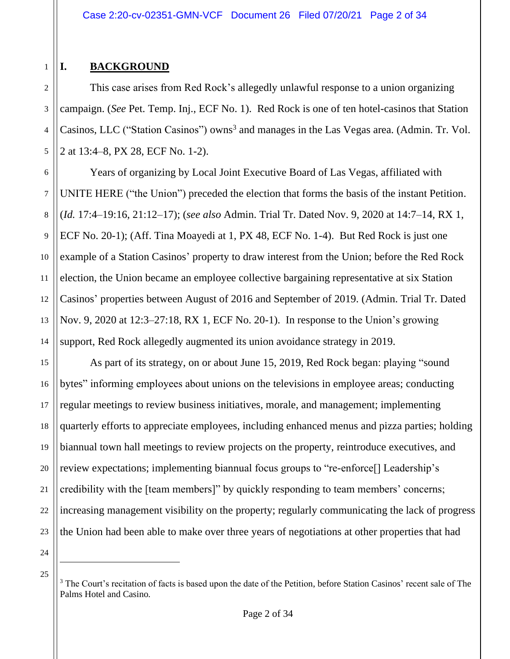# **I. BACKGROUND**

1

2

3

4

5

6

7

8

9

10

11

12

13

14

This case arises from Red Rock's allegedly unlawful response to a union organizing campaign. (*See* Pet. Temp. Inj., ECF No. 1). Red Rock is one of ten hotel-casinos that Station Casinos, LLC ("Station Casinos") owns<sup>3</sup> and manages in the Las Vegas area. (Admin. Tr. Vol. 2 at 13:4–8, PX 28, ECF No. 1-2).

Years of organizing by Local Joint Executive Board of Las Vegas, affiliated with UNITE HERE ("the Union") preceded the election that forms the basis of the instant Petition. (*Id.* 17:4–19:16, 21:12–17); (*see also* Admin. Trial Tr. Dated Nov. 9, 2020 at 14:7–14, RX 1, ECF No. 20-1); (Aff. Tina Moayedi at 1, PX 48, ECF No. 1-4). But Red Rock is just one example of a Station Casinos' property to draw interest from the Union; before the Red Rock election, the Union became an employee collective bargaining representative at six Station Casinos' properties between August of 2016 and September of 2019. (Admin. Trial Tr. Dated Nov. 9, 2020 at 12:3–27:18, RX 1, ECF No. 20-1). In response to the Union's growing support, Red Rock allegedly augmented its union avoidance strategy in 2019.

15 16 17 18 19 20 21 22 23 As part of its strategy, on or about June 15, 2019, Red Rock began: playing "sound bytes" informing employees about unions on the televisions in employee areas; conducting regular meetings to review business initiatives, morale, and management; implementing quarterly efforts to appreciate employees, including enhanced menus and pizza parties; holding biannual town hall meetings to review projects on the property, reintroduce executives, and review expectations; implementing biannual focus groups to "re-enforce[] Leadership's credibility with the [team members]" by quickly responding to team members' concerns; increasing management visibility on the property; regularly communicating the lack of progress the Union had been able to make over three years of negotiations at other properties that had

<sup>&</sup>lt;sup>3</sup> The Court's recitation of facts is based upon the date of the Petition, before Station Casinos' recent sale of The Palms Hotel and Casino.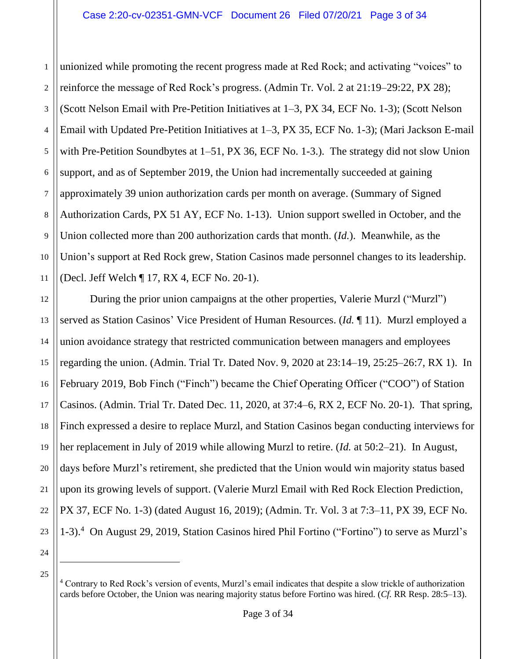1 2 3 4 5 6 7 8 9 10 11 unionized while promoting the recent progress made at Red Rock; and activating "voices" to reinforce the message of Red Rock's progress. (Admin Tr. Vol. 2 at 21:19–29:22, PX 28); (Scott Nelson Email with Pre-Petition Initiatives at 1–3, PX 34, ECF No. 1-3); (Scott Nelson Email with Updated Pre-Petition Initiatives at 1–3, PX 35, ECF No. 1-3); (Mari Jackson E-mail with Pre-Petition Soundbytes at 1–51, PX 36, ECF No. 1-3.). The strategy did not slow Union support, and as of September 2019, the Union had incrementally succeeded at gaining approximately 39 union authorization cards per month on average. (Summary of Signed Authorization Cards, PX 51 AY, ECF No. 1-13). Union support swelled in October, and the Union collected more than 200 authorization cards that month. (*Id.*). Meanwhile, as the Union's support at Red Rock grew, Station Casinos made personnel changes to its leadership. (Decl. Jeff Welch ¶ 17, RX 4, ECF No. 20-1).

12 13 14 15 16 17 18 19 20 21 22 23 During the prior union campaigns at the other properties, Valerie Murzl ("Murzl") served as Station Casinos' Vice President of Human Resources. (*Id.* ¶ 11). Murzl employed a union avoidance strategy that restricted communication between managers and employees regarding the union. (Admin. Trial Tr. Dated Nov. 9, 2020 at 23:14–19, 25:25–26:7, RX 1). In February 2019, Bob Finch ("Finch") became the Chief Operating Officer ("COO") of Station Casinos. (Admin. Trial Tr. Dated Dec. 11, 2020, at 37:4–6, RX 2, ECF No. 20-1). That spring, Finch expressed a desire to replace Murzl, and Station Casinos began conducting interviews for her replacement in July of 2019 while allowing Murzl to retire. (*Id.* at 50:2–21). In August, days before Murzl's retirement, she predicted that the Union would win majority status based upon its growing levels of support. (Valerie Murzl Email with Red Rock Election Prediction, PX 37, ECF No. 1-3) (dated August 16, 2019); (Admin. Tr. Vol. 3 at 7:3–11, PX 39, ECF No. 1-3).<sup>4</sup> On August 29, 2019, Station Casinos hired Phil Fortino ("Fortino") to serve as Murzl's

<sup>4</sup> Contrary to Red Rock's version of events, Murzl's email indicates that despite a slow trickle of authorization cards before October, the Union was nearing majority status before Fortino was hired. (*Cf.* RR Resp. 28:5–13).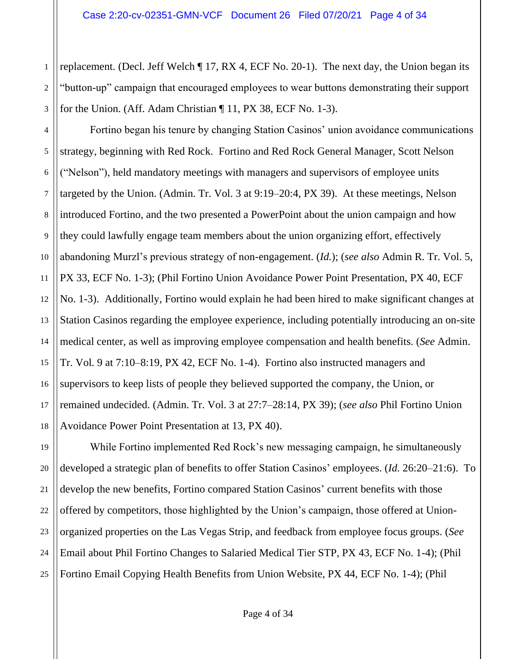2 3 replacement. (Decl. Jeff Welch ¶ 17, RX 4, ECF No. 20-1). The next day, the Union began its "button-up" campaign that encouraged employees to wear buttons demonstrating their support for the Union. (Aff. Adam Christian ¶ 11, PX 38, ECF No. 1-3).

1

4 5 6 7 8 9 10 11 12 13 14 15 16 17 18 Fortino began his tenure by changing Station Casinos' union avoidance communications strategy, beginning with Red Rock. Fortino and Red Rock General Manager, Scott Nelson ("Nelson"), held mandatory meetings with managers and supervisors of employee units targeted by the Union. (Admin. Tr. Vol. 3 at 9:19–20:4, PX 39). At these meetings, Nelson introduced Fortino, and the two presented a PowerPoint about the union campaign and how they could lawfully engage team members about the union organizing effort, effectively abandoning Murzl's previous strategy of non-engagement. (*Id.*); (*see also* Admin R. Tr. Vol. 5, PX 33, ECF No. 1-3); (Phil Fortino Union Avoidance Power Point Presentation, PX 40, ECF No. 1-3). Additionally, Fortino would explain he had been hired to make significant changes at Station Casinos regarding the employee experience, including potentially introducing an on-site medical center, as well as improving employee compensation and health benefits. (*See* Admin. Tr. Vol. 9 at 7:10–8:19, PX 42, ECF No. 1-4). Fortino also instructed managers and supervisors to keep lists of people they believed supported the company, the Union, or remained undecided. (Admin. Tr. Vol. 3 at 27:7–28:14, PX 39); (*see also* Phil Fortino Union Avoidance Power Point Presentation at 13, PX 40).

19 20 21 22 23 24 25 While Fortino implemented Red Rock's new messaging campaign, he simultaneously developed a strategic plan of benefits to offer Station Casinos' employees. (*Id.* 26:20–21:6). To develop the new benefits, Fortino compared Station Casinos' current benefits with those offered by competitors, those highlighted by the Union's campaign, those offered at Unionorganized properties on the Las Vegas Strip, and feedback from employee focus groups. (*See* Email about Phil Fortino Changes to Salaried Medical Tier STP, PX 43, ECF No. 1-4); (Phil Fortino Email Copying Health Benefits from Union Website, PX 44, ECF No. 1-4); (Phil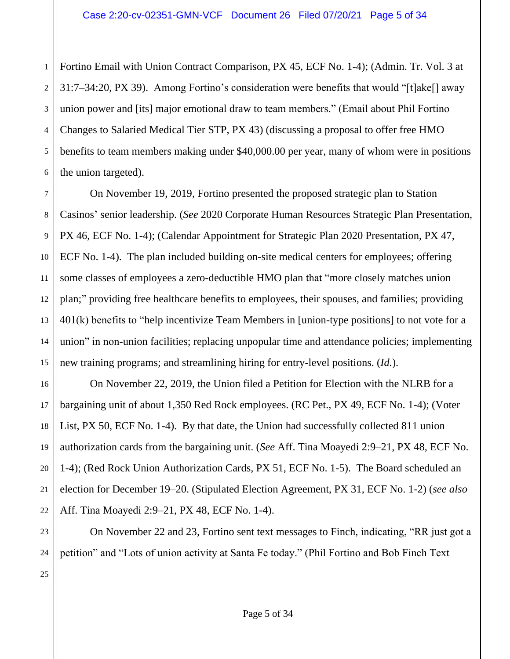1 2 3 4 5 Fortino Email with Union Contract Comparison, PX 45, ECF No. 1-4); (Admin. Tr. Vol. 3 at 31:7–34:20, PX 39). Among Fortino's consideration were benefits that would "[t]ake[] away union power and [its] major emotional draw to team members." (Email about Phil Fortino Changes to Salaried Medical Tier STP, PX 43) (discussing a proposal to offer free HMO benefits to team members making under \$40,000.00 per year, many of whom were in positions the union targeted).

On November 19, 2019, Fortino presented the proposed strategic plan to Station Casinos' senior leadership. (*See* 2020 Corporate Human Resources Strategic Plan Presentation, PX 46, ECF No. 1-4); (Calendar Appointment for Strategic Plan 2020 Presentation, PX 47, ECF No. 1-4). The plan included building on-site medical centers for employees; offering some classes of employees a zero-deductible HMO plan that "more closely matches union plan;" providing free healthcare benefits to employees, their spouses, and families; providing 401(k) benefits to "help incentivize Team Members in [union-type positions] to not vote for a union" in non-union facilities; replacing unpopular time and attendance policies; implementing new training programs; and streamlining hiring for entry-level positions. (*Id.*).

On November 22, 2019, the Union filed a Petition for Election with the NLRB for a bargaining unit of about 1,350 Red Rock employees. (RC Pet., PX 49, ECF No. 1-4); (Voter List, PX 50, ECF No. 1-4). By that date, the Union had successfully collected 811 union authorization cards from the bargaining unit. (*See* Aff. Tina Moayedi 2:9–21, PX 48, ECF No. 1-4); (Red Rock Union Authorization Cards, PX 51, ECF No. 1-5). The Board scheduled an election for December 19–20. (Stipulated Election Agreement, PX 31, ECF No. 1-2) (*see also*  Aff. Tina Moayedi 2:9–21, PX 48, ECF No. 1-4).

On November 22 and 23, Fortino sent text messages to Finch, indicating, "RR just got a petition" and "Lots of union activity at Santa Fe today." (Phil Fortino and Bob Finch Text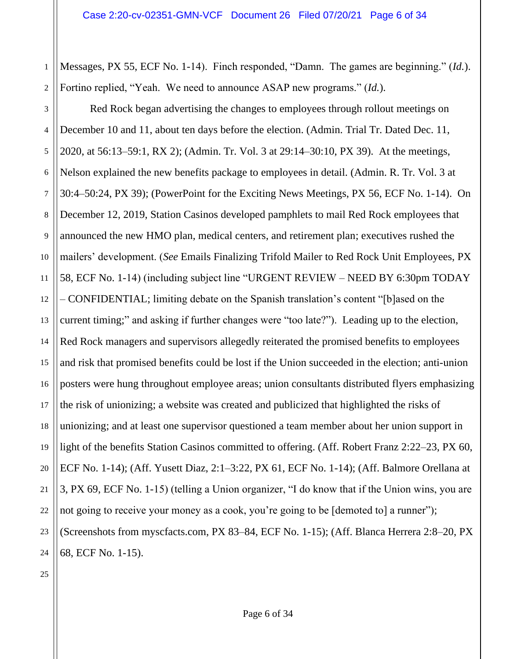1 2 Messages, PX 55, ECF No. 1-14). Finch responded, "Damn. The games are beginning." (*Id.*). Fortino replied, "Yeah. We need to announce ASAP new programs." (*Id.*).

3 4 5 6 7 8 9 10 11 12 13 14 15 16 17 18 19 20 21 22 23 24 Red Rock began advertising the changes to employees through rollout meetings on December 10 and 11, about ten days before the election. (Admin. Trial Tr. Dated Dec. 11, 2020, at 56:13–59:1, RX 2); (Admin. Tr. Vol. 3 at 29:14–30:10, PX 39). At the meetings, Nelson explained the new benefits package to employees in detail. (Admin. R. Tr. Vol. 3 at 30:4–50:24, PX 39); (PowerPoint for the Exciting News Meetings, PX 56, ECF No. 1-14). On December 12, 2019, Station Casinos developed pamphlets to mail Red Rock employees that announced the new HMO plan, medical centers, and retirement plan; executives rushed the mailers' development. (*See* Emails Finalizing Trifold Mailer to Red Rock Unit Employees, PX 58, ECF No. 1-14) (including subject line "URGENT REVIEW – NEED BY 6:30pm TODAY – CONFIDENTIAL; limiting debate on the Spanish translation's content "[b]ased on the current timing;" and asking if further changes were "too late?"). Leading up to the election, Red Rock managers and supervisors allegedly reiterated the promised benefits to employees and risk that promised benefits could be lost if the Union succeeded in the election; anti-union posters were hung throughout employee areas; union consultants distributed flyers emphasizing the risk of unionizing; a website was created and publicized that highlighted the risks of unionizing; and at least one supervisor questioned a team member about her union support in light of the benefits Station Casinos committed to offering. (Aff. Robert Franz 2:22–23, PX 60, ECF No. 1-14); (Aff. Yusett Diaz, 2:1–3:22, PX 61, ECF No. 1-14); (Aff. Balmore Orellana at 3, PX 69, ECF No. 1-15) (telling a Union organizer, "I do know that if the Union wins, you are not going to receive your money as a cook, you're going to be [demoted to] a runner"); (Screenshots from myscfacts.com, PX 83–84, ECF No. 1-15); (Aff. Blanca Herrera 2:8–20, PX 68, ECF No. 1-15).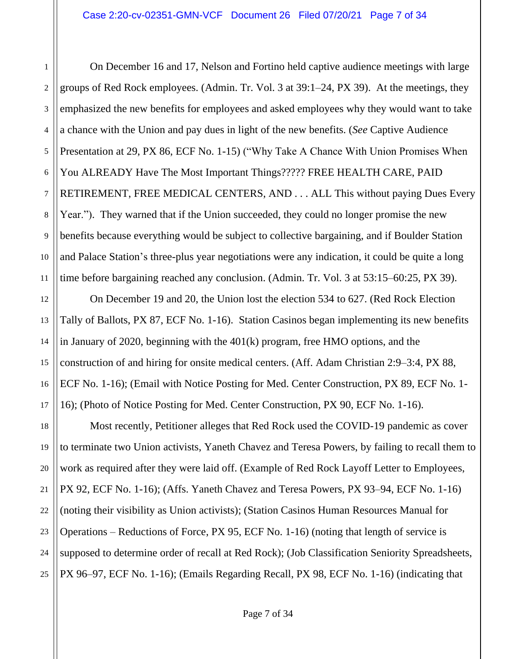1

3

9

11

21

23

2 4 5 6 7 8 10 On December 16 and 17, Nelson and Fortino held captive audience meetings with large groups of Red Rock employees. (Admin. Tr. Vol. 3 at 39:1–24, PX 39). At the meetings, they emphasized the new benefits for employees and asked employees why they would want to take a chance with the Union and pay dues in light of the new benefits. (*See* Captive Audience Presentation at 29, PX 86, ECF No. 1-15) ("Why Take A Chance With Union Promises When You ALREADY Have The Most Important Things????? FREE HEALTH CARE, PAID RETIREMENT, FREE MEDICAL CENTERS, AND . . . ALL This without paying Dues Every Year."). They warned that if the Union succeeded, they could no longer promise the new benefits because everything would be subject to collective bargaining, and if Boulder Station and Palace Station's three-plus year negotiations were any indication, it could be quite a long time before bargaining reached any conclusion. (Admin. Tr. Vol. 3 at 53:15–60:25, PX 39).

12 13 14 15 16 17 On December 19 and 20, the Union lost the election 534 to 627. (Red Rock Election Tally of Ballots, PX 87, ECF No. 1-16). Station Casinos began implementing its new benefits in January of 2020, beginning with the 401(k) program, free HMO options, and the construction of and hiring for onsite medical centers. (Aff. Adam Christian 2:9–3:4, PX 88, ECF No. 1-16); (Email with Notice Posting for Med. Center Construction, PX 89, ECF No. 1- 16); (Photo of Notice Posting for Med. Center Construction, PX 90, ECF No. 1-16).

18 19 20 22 24 25 Most recently, Petitioner alleges that Red Rock used the COVID-19 pandemic as cover to terminate two Union activists, Yaneth Chavez and Teresa Powers, by failing to recall them to work as required after they were laid off. (Example of Red Rock Layoff Letter to Employees, PX 92, ECF No. 1-16); (Affs. Yaneth Chavez and Teresa Powers, PX 93–94, ECF No. 1-16) (noting their visibility as Union activists); (Station Casinos Human Resources Manual for Operations – Reductions of Force, PX 95, ECF No. 1-16) (noting that length of service is supposed to determine order of recall at Red Rock); (Job Classification Seniority Spreadsheets, PX 96–97, ECF No. 1-16); (Emails Regarding Recall, PX 98, ECF No. 1-16) (indicating that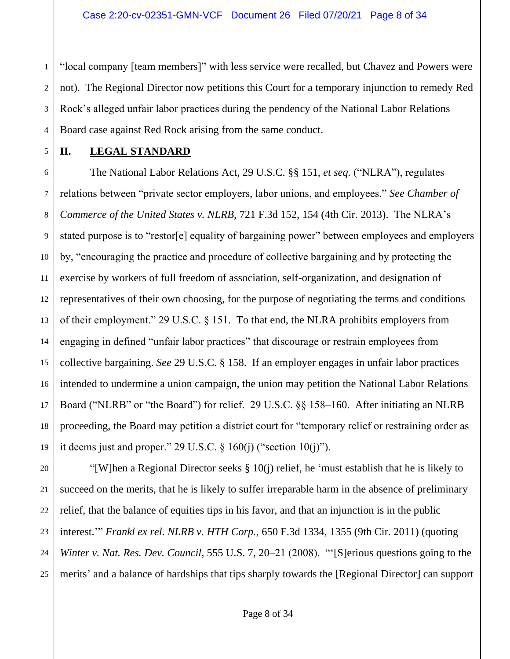2 3 4 "local company [team members]" with less service were recalled, but Chavez and Powers were not). The Regional Director now petitions this Court for a temporary injunction to remedy Red Rock's alleged unfair labor practices during the pendency of the National Labor Relations Board case against Red Rock arising from the same conduct.

5

20

21

22

23

24

25

1

# **II. LEGAL STANDARD**

6 7 8 9 10 11 12 13 14 15 16 17 18 19 The National Labor Relations Act, 29 U.S.C. §§ 151, *et seq.* ("NLRA"), regulates relations between "private sector employers, labor unions, and employees." *See Chamber of Commerce of the United States v. NLRB*, 721 F.3d 152, 154 (4th Cir. 2013). The NLRA's stated purpose is to "restor[e] equality of bargaining power" between employees and employers by, "encouraging the practice and procedure of collective bargaining and by protecting the exercise by workers of full freedom of association, self-organization, and designation of representatives of their own choosing, for the purpose of negotiating the terms and conditions of their employment." 29 U.S.C. § 151. To that end, the NLRA prohibits employers from engaging in defined "unfair labor practices" that discourage or restrain employees from collective bargaining. *See* 29 U.S.C. § 158. If an employer engages in unfair labor practices intended to undermine a union campaign, the union may petition the National Labor Relations Board ("NLRB" or "the Board") for relief. 29 U.S.C. §§ 158–160. After initiating an NLRB proceeding, the Board may petition a district court for "temporary relief or restraining order as it deems just and proper." 29 U.S.C.  $\S$  160(j) ("section 10(j)").

"[W]hen a Regional Director seeks § 10(j) relief, he 'must establish that he is likely to succeed on the merits, that he is likely to suffer irreparable harm in the absence of preliminary relief, that the balance of equities tips in his favor, and that an injunction is in the public interest.'" *Frankl ex rel. NLRB v. HTH Corp.*, 650 F.3d 1334, 1355 (9th Cir. 2011) (quoting *Winter v. Nat. Res. Dev. Council*, 555 U.S. 7, 20–21 (2008). "'[S]erious questions going to the merits' and a balance of hardships that tips sharply towards the [Regional Director] can support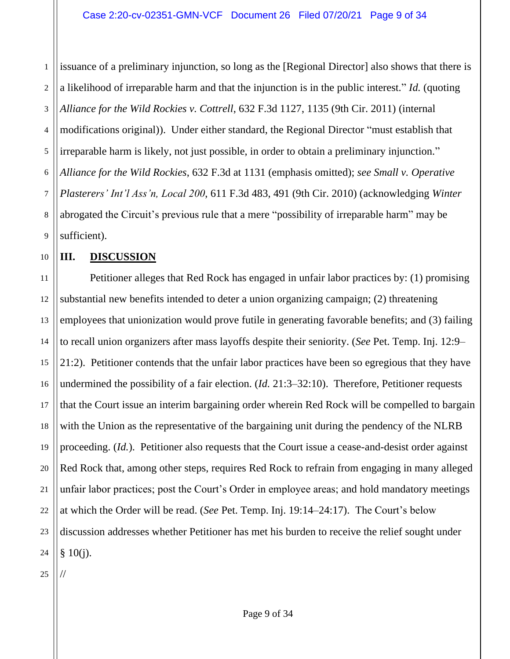1 2 3 4 5 6 7 8 9 issuance of a preliminary injunction, so long as the [Regional Director] also shows that there is a likelihood of irreparable harm and that the injunction is in the public interest." *Id.* (quoting *Alliance for the Wild Rockies v. Cottrell*, 632 F.3d 1127, 1135 (9th Cir. 2011) (internal modifications original)). Under either standard, the Regional Director "must establish that irreparable harm is likely, not just possible, in order to obtain a preliminary injunction." *Alliance for the Wild Rockies*, 632 F.3d at 1131 (emphasis omitted); *see Small v. Operative Plasterers' Int'l Ass'n, Local 200*, 611 F.3d 483, 491 (9th Cir. 2010) (acknowledging *Winter* abrogated the Circuit's previous rule that a mere "possibility of irreparable harm" may be sufficient).

## **III. DISCUSSION**

10

11 12 13 14 15 16 17 18 19 20 21 22 23 24 Petitioner alleges that Red Rock has engaged in unfair labor practices by: (1) promising substantial new benefits intended to deter a union organizing campaign; (2) threatening employees that unionization would prove futile in generating favorable benefits; and (3) failing to recall union organizers after mass layoffs despite their seniority. (*See* Pet. Temp. Inj. 12:9– 21:2). Petitioner contends that the unfair labor practices have been so egregious that they have undermined the possibility of a fair election. (*Id.* 21:3–32:10). Therefore, Petitioner requests that the Court issue an interim bargaining order wherein Red Rock will be compelled to bargain with the Union as the representative of the bargaining unit during the pendency of the NLRB proceeding. (*Id.*). Petitioner also requests that the Court issue a cease-and-desist order against Red Rock that, among other steps, requires Red Rock to refrain from engaging in many alleged unfair labor practices; post the Court's Order in employee areas; and hold mandatory meetings at which the Order will be read. (*See* Pet. Temp. Inj. 19:14–24:17). The Court's below discussion addresses whether Petitioner has met his burden to receive the relief sought under  $§ 10(i).$ 

25

//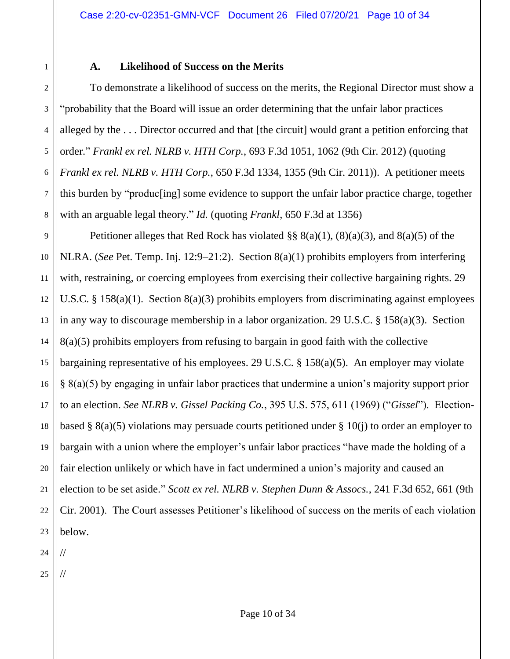# **A. Likelihood of Success on the Merits**

To demonstrate a likelihood of success on the merits, the Regional Director must show a "probability that the Board will issue an order determining that the unfair labor practices alleged by the . . . Director occurred and that [the circuit] would grant a petition enforcing that order." *Frankl ex rel. NLRB v. HTH Corp.*, 693 F.3d 1051, 1062 (9th Cir. 2012) (quoting *Frankl ex rel. NLRB v. HTH Corp.*, 650 F.3d 1334, 1355 (9th Cir. 2011)). A petitioner meets this burden by "produc[ing] some evidence to support the unfair labor practice charge, together with an arguable legal theory." *Id.* (quoting *Frankl*, 650 F.3d at 1356)

9 10 11 12 13 14 15 16 17 18 19 20 21 22 23 Petitioner alleges that Red Rock has violated  $\S$ §  $8(a)(1)$ ,  $(8)(a)(3)$ , and  $8(a)(5)$  of the NLRA. (*See* Pet. Temp. Inj. 12:9–21:2). Section 8(a)(1) prohibits employers from interfering with, restraining, or coercing employees from exercising their collective bargaining rights. 29 U.S.C. § 158(a)(1). Section 8(a)(3) prohibits employers from discriminating against employees in any way to discourage membership in a labor organization. 29 U.S.C. § 158(a)(3). Section 8(a)(5) prohibits employers from refusing to bargain in good faith with the collective bargaining representative of his employees. 29 U.S.C. § 158(a)(5). An employer may violate § 8(a)(5) by engaging in unfair labor practices that undermine a union's majority support prior to an election. *See NLRB v. Gissel Packing Co.*, 395 U.S. 575, 611 (1969) ("*Gissel*"). Electionbased § 8(a)(5) violations may persuade courts petitioned under § 10(j) to order an employer to bargain with a union where the employer's unfair labor practices "have made the holding of a fair election unlikely or which have in fact undermined a union's majority and caused an election to be set aside." *Scott ex rel. NLRB v. Stephen Dunn & Assocs.*, 241 F.3d 652, 661 (9th Cir. 2001). The Court assesses Petitioner's likelihood of success on the merits of each violation below.

24

//

//

1

2

3

4

5

6

7

8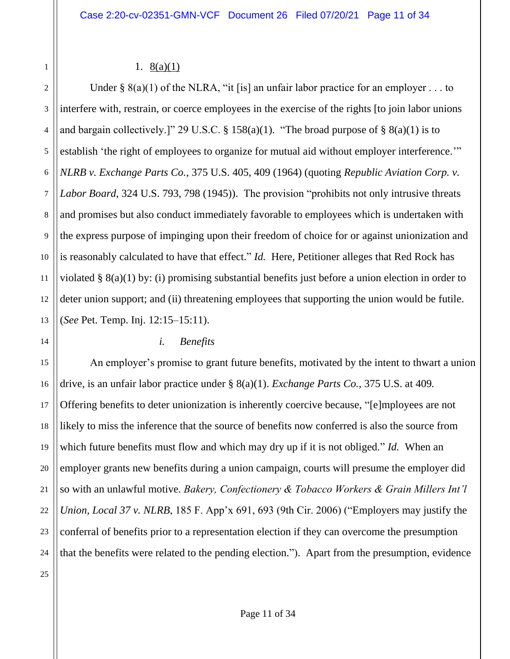## 1.  $8(a)(1)$

2 3 4 Under §  $8(a)(1)$  of the NLRA, "it [is] an unfair labor practice for an employer . . . to interfere with, restrain, or coerce employees in the exercise of the rights [to join labor unions and bargain collectively.]" 29 U.S.C. § 158(a)(1). "The broad purpose of § 8(a)(1) is to establish 'the right of employees to organize for mutual aid without employer interference.'" *NLRB v. Exchange Parts Co.*, 375 U.S. 405, 409 (1964) (quoting *Republic Aviation Corp. v. Labor Board*, 324 U.S. 793, 798 (1945)). The provision "prohibits not only intrusive threats and promises but also conduct immediately favorable to employees which is undertaken with the express purpose of impinging upon their freedom of choice for or against unionization and is reasonably calculated to have that effect." *Id.* Here, Petitioner alleges that Red Rock has violated § 8(a)(1) by: (i) promising substantial benefits just before a union election in order to deter union support; and (ii) threatening employees that supporting the union would be futile. (*See* Pet. Temp. Inj. 12:15–15:11).

## *i. Benefits*

An employer's promise to grant future benefits, motivated by the intent to thwart a union drive, is an unfair labor practice under § 8(a)(1). *Exchange Parts Co.*, 375 U.S. at 409*.* Offering benefits to deter unionization is inherently coercive because, "[e]mployees are not likely to miss the inference that the source of benefits now conferred is also the source from which future benefits must flow and which may dry up if it is not obliged." *Id.* When an employer grants new benefits during a union campaign, courts will presume the employer did so with an unlawful motive. *Bakery, Confectionery & Tobacco Workers & Grain Millers Int'l Union, Local 37 v. NLRB*, 185 F. App'x 691, 693 (9th Cir. 2006) ("Employers may justify the conferral of benefits prior to a representation election if they can overcome the presumption that the benefits were related to the pending election."). Apart from the presumption, evidence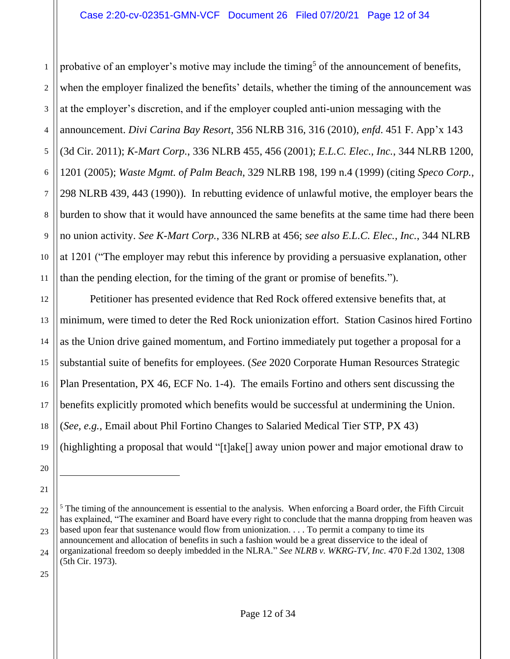1 2 3 4 5 6 7 8 9 10 11 probative of an employer's motive may include the timing<sup>5</sup> of the announcement of benefits, when the employer finalized the benefits' details, whether the timing of the announcement was at the employer's discretion, and if the employer coupled anti-union messaging with the announcement. *Divi Carina Bay Resort*, 356 NLRB 316, 316 (2010), *enfd*. 451 F. App'x 143 (3d Cir. 2011); *K-Mart Corp.*, 336 NLRB 455, 456 (2001); *E.L.C. Elec., Inc.*, 344 NLRB 1200, 1201 (2005); *Waste Mgmt. of Palm Beach*, 329 NLRB 198, 199 n.4 (1999) (citing *Speco Corp.*, 298 NLRB 439, 443 (1990)). In rebutting evidence of unlawful motive, the employer bears the burden to show that it would have announced the same benefits at the same time had there been no union activity. *See K-Mart Corp.*, 336 NLRB at 456; *see also E.L.C. Elec., Inc.*, 344 NLRB at 1201 ("The employer may rebut this inference by providing a persuasive explanation, other than the pending election, for the timing of the grant or promise of benefits.").

12 13 14 15 16 17 18 19 Petitioner has presented evidence that Red Rock offered extensive benefits that, at minimum, were timed to deter the Red Rock unionization effort. Station Casinos hired Fortino as the Union drive gained momentum, and Fortino immediately put together a proposal for a substantial suite of benefits for employees. (*See* 2020 Corporate Human Resources Strategic Plan Presentation, PX 46, ECF No. 1-4). The emails Fortino and others sent discussing the benefits explicitly promoted which benefits would be successful at undermining the Union. (*See, e.g.*, Email about Phil Fortino Changes to Salaried Medical Tier STP, PX 43) (highlighting a proposal that would "[t]ake[] away union power and major emotional draw to

20 21

<sup>22</sup> 23 24  $5$  The timing of the announcement is essential to the analysis. When enforcing a Board order, the Fifth Circuit has explained, "The examiner and Board have every right to conclude that the manna dropping from heaven was based upon fear that sustenance would flow from unionization. . . . To permit a company to time its announcement and allocation of benefits in such a fashion would be a great disservice to the ideal of organizational freedom so deeply imbedded in the NLRA." *See NLRB v. WKRG-TV, Inc.* 470 F.2d 1302, 1308 (5th Cir. 1973).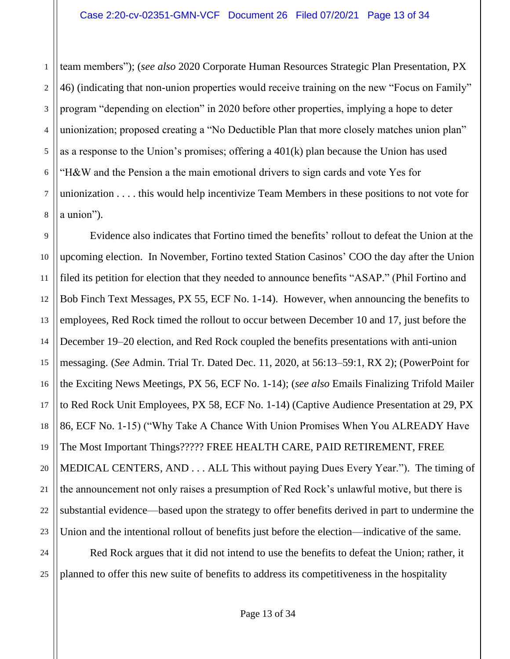1

8

2 3 4 5 6 7 team members"); (*see also* 2020 Corporate Human Resources Strategic Plan Presentation, PX 46) (indicating that non-union properties would receive training on the new "Focus on Family" program "depending on election" in 2020 before other properties, implying a hope to deter unionization; proposed creating a "No Deductible Plan that more closely matches union plan" as a response to the Union's promises; offering a 401(k) plan because the Union has used "H&W and the Pension a the main emotional drivers to sign cards and vote Yes for unionization . . . . this would help incentivize Team Members in these positions to not vote for a union").

9 10 11 12 13 14 15 16 17 18 19 20 21 22 23 Evidence also indicates that Fortino timed the benefits' rollout to defeat the Union at the upcoming election. In November, Fortino texted Station Casinos' COO the day after the Union filed its petition for election that they needed to announce benefits "ASAP." (Phil Fortino and Bob Finch Text Messages, PX 55, ECF No. 1-14). However, when announcing the benefits to employees, Red Rock timed the rollout to occur between December 10 and 17, just before the December 19–20 election, and Red Rock coupled the benefits presentations with anti-union messaging. (*See* Admin. Trial Tr. Dated Dec. 11, 2020, at 56:13–59:1, RX 2); (PowerPoint for the Exciting News Meetings, PX 56, ECF No. 1-14); (*see also* Emails Finalizing Trifold Mailer to Red Rock Unit Employees, PX 58, ECF No. 1-14) (Captive Audience Presentation at 29, PX 86, ECF No. 1-15) ("Why Take A Chance With Union Promises When You ALREADY Have The Most Important Things????? FREE HEALTH CARE, PAID RETIREMENT, FREE MEDICAL CENTERS, AND . . . ALL This without paying Dues Every Year."). The timing of the announcement not only raises a presumption of Red Rock's unlawful motive, but there is substantial evidence—based upon the strategy to offer benefits derived in part to undermine the Union and the intentional rollout of benefits just before the election—indicative of the same.

24 25 Red Rock argues that it did not intend to use the benefits to defeat the Union; rather, it planned to offer this new suite of benefits to address its competitiveness in the hospitality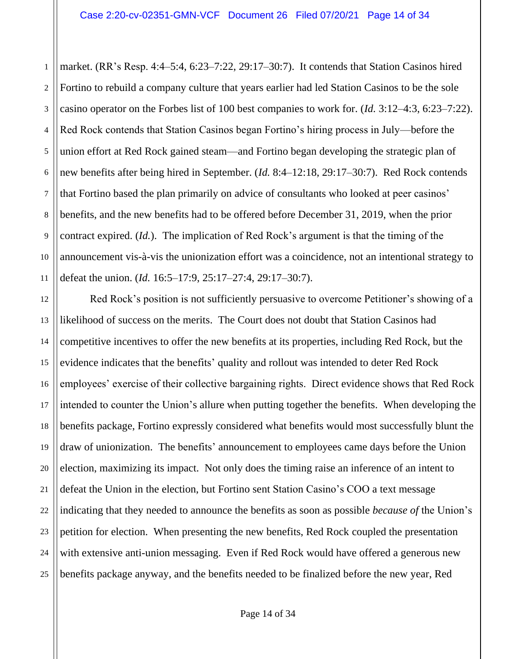1 2 3 4 5 6 7 8 9 10 11 market. (RR's Resp. 4:4–5:4, 6:23–7:22, 29:17–30:7). It contends that Station Casinos hired Fortino to rebuild a company culture that years earlier had led Station Casinos to be the sole casino operator on the Forbes list of 100 best companies to work for. (*Id.* 3:12–4:3, 6:23–7:22). Red Rock contends that Station Casinos began Fortino's hiring process in July—before the union effort at Red Rock gained steam—and Fortino began developing the strategic plan of new benefits after being hired in September. (*Id.* 8:4–12:18, 29:17–30:7). Red Rock contends that Fortino based the plan primarily on advice of consultants who looked at peer casinos' benefits, and the new benefits had to be offered before December 31, 2019, when the prior contract expired. (*Id.*). The implication of Red Rock's argument is that the timing of the announcement vis-à-vis the unionization effort was a coincidence, not an intentional strategy to defeat the union. (*Id.* 16:5–17:9, 25:17–27:4, 29:17–30:7).

12 13 14 15 16 17 18 19 20 21 22 23 24 25 Red Rock's position is not sufficiently persuasive to overcome Petitioner's showing of a likelihood of success on the merits. The Court does not doubt that Station Casinos had competitive incentives to offer the new benefits at its properties, including Red Rock, but the evidence indicates that the benefits' quality and rollout was intended to deter Red Rock employees' exercise of their collective bargaining rights. Direct evidence shows that Red Rock intended to counter the Union's allure when putting together the benefits. When developing the benefits package, Fortino expressly considered what benefits would most successfully blunt the draw of unionization. The benefits' announcement to employees came days before the Union election, maximizing its impact. Not only does the timing raise an inference of an intent to defeat the Union in the election, but Fortino sent Station Casino's COO a text message indicating that they needed to announce the benefits as soon as possible *because of* the Union's petition for election. When presenting the new benefits, Red Rock coupled the presentation with extensive anti-union messaging. Even if Red Rock would have offered a generous new benefits package anyway, and the benefits needed to be finalized before the new year, Red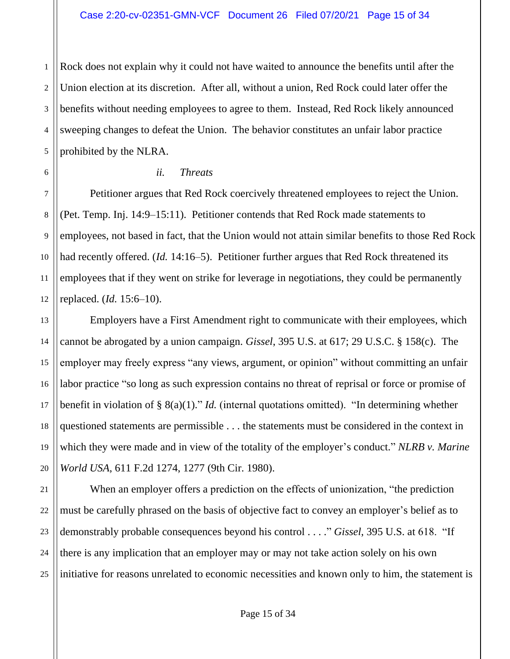2 3 Rock does not explain why it could not have waited to announce the benefits until after the Union election at its discretion. After all, without a union, Red Rock could later offer the benefits without needing employees to agree to them. Instead, Red Rock likely announced sweeping changes to defeat the Union. The behavior constitutes an unfair labor practice prohibited by the NLRA.

#### *ii. Threats*

1

4

5

6

7

8

9

10

11

12

21

23

Petitioner argues that Red Rock coercively threatened employees to reject the Union. (Pet. Temp. Inj. 14:9–15:11). Petitioner contends that Red Rock made statements to employees, not based in fact, that the Union would not attain similar benefits to those Red Rock had recently offered. (*Id.* 14:16–5). Petitioner further argues that Red Rock threatened its employees that if they went on strike for leverage in negotiations, they could be permanently replaced. (*Id.* 15:6–10).

13 14 15 16 17 18 19 20 Employers have a First Amendment right to communicate with their employees, which cannot be abrogated by a union campaign. *Gissel*, 395 U.S. at 617; 29 U.S.C. § 158(c). The employer may freely express "any views, argument, or opinion" without committing an unfair labor practice "so long as such expression contains no threat of reprisal or force or promise of benefit in violation of § 8(a)(1)." *Id.* (internal quotations omitted). "In determining whether questioned statements are permissible . . . the statements must be considered in the context in which they were made and in view of the totality of the employer's conduct." *NLRB v. Marine World USA*, 611 F.2d 1274, 1277 (9th Cir. 1980).

22 24 25 When an employer offers a prediction on the effects of unionization, "the prediction must be carefully phrased on the basis of objective fact to convey an employer's belief as to demonstrably probable consequences beyond his control . . . ." *Gissel*, 395 U.S. at 618. "If there is any implication that an employer may or may not take action solely on his own initiative for reasons unrelated to economic necessities and known only to him, the statement is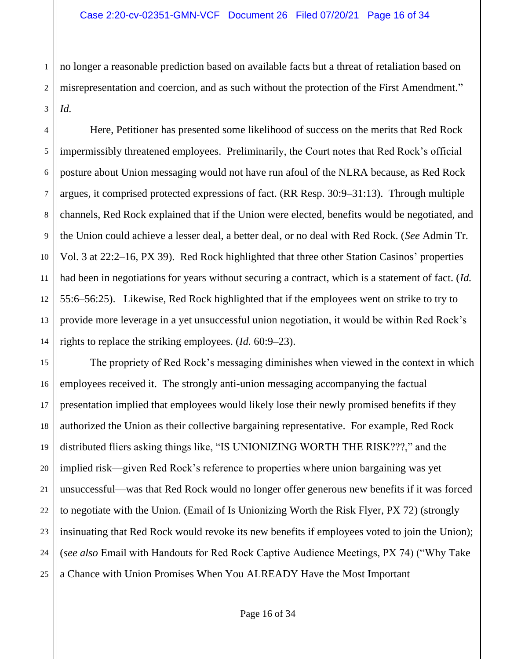1 2 3 no longer a reasonable prediction based on available facts but a threat of retaliation based on misrepresentation and coercion, and as such without the protection of the First Amendment." *Id.* 

4 5 6 7 8 9 10 11 12 13 14 Here, Petitioner has presented some likelihood of success on the merits that Red Rock impermissibly threatened employees. Preliminarily, the Court notes that Red Rock's official posture about Union messaging would not have run afoul of the NLRA because, as Red Rock argues, it comprised protected expressions of fact. (RR Resp. 30:9–31:13). Through multiple channels, Red Rock explained that if the Union were elected, benefits would be negotiated, and the Union could achieve a lesser deal, a better deal, or no deal with Red Rock. (*See* Admin Tr. Vol. 3 at 22:2–16, PX 39). Red Rock highlighted that three other Station Casinos' properties had been in negotiations for years without securing a contract, which is a statement of fact. (*Id.* 55:6–56:25). Likewise, Red Rock highlighted that if the employees went on strike to try to provide more leverage in a yet unsuccessful union negotiation, it would be within Red Rock's rights to replace the striking employees. (*Id.* 60:9–23).

15 16 17 18 19 20 21 22 23 24 25 The propriety of Red Rock's messaging diminishes when viewed in the context in which employees received it. The strongly anti-union messaging accompanying the factual presentation implied that employees would likely lose their newly promised benefits if they authorized the Union as their collective bargaining representative. For example, Red Rock distributed fliers asking things like, "IS UNIONIZING WORTH THE RISK???," and the implied risk—given Red Rock's reference to properties where union bargaining was yet unsuccessful—was that Red Rock would no longer offer generous new benefits if it was forced to negotiate with the Union. (Email of Is Unionizing Worth the Risk Flyer, PX 72) (strongly insinuating that Red Rock would revoke its new benefits if employees voted to join the Union); (*see also* Email with Handouts for Red Rock Captive Audience Meetings, PX 74) ("Why Take a Chance with Union Promises When You ALREADY Have the Most Important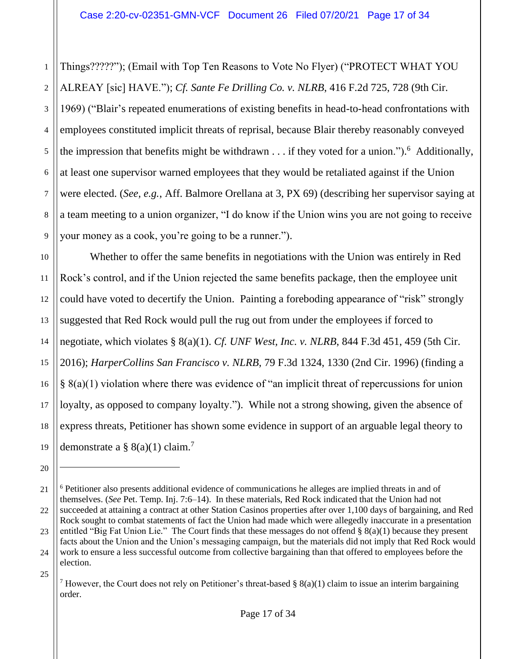1 2 3 4 5 6 7 8 9 Things?????"); (Email with Top Ten Reasons to Vote No Flyer) ("PROTECT WHAT YOU ALREAY [sic] HAVE."); *Cf. Sante Fe Drilling Co. v. NLRB*, 416 F.2d 725, 728 (9th Cir. 1969) ("Blair's repeated enumerations of existing benefits in head-to-head confrontations with employees constituted implicit threats of reprisal, because Blair thereby reasonably conveyed the impression that benefits might be withdrawn  $\dots$  if they voted for a union.").<sup>6</sup> Additionally, at least one supervisor warned employees that they would be retaliated against if the Union were elected. (*See, e.g.*, Aff. Balmore Orellana at 3, PX 69) (describing her supervisor saying at a team meeting to a union organizer, "I do know if the Union wins you are not going to receive your money as a cook, you're going to be a runner.").

10 11 12 13 14 15 16 17 18 19 Whether to offer the same benefits in negotiations with the Union was entirely in Red Rock's control, and if the Union rejected the same benefits package, then the employee unit could have voted to decertify the Union. Painting a foreboding appearance of "risk" strongly suggested that Red Rock would pull the rug out from under the employees if forced to negotiate, which violates § 8(a)(1). *Cf. UNF West, Inc. v. NLRB*, 844 F.3d 451, 459 (5th Cir. 2016); *HarperCollins San Francisco v. NLRB*, 79 F.3d 1324, 1330 (2nd Cir. 1996) (finding a § 8(a)(1) violation where there was evidence of "an implicit threat of repercussions for union loyalty, as opposed to company loyalty."). While not a strong showing, given the absence of express threats, Petitioner has shown some evidence in support of an arguable legal theory to demonstrate a  $\S$  8(a)(1) claim.<sup>7</sup>

<sup>20</sup>

<sup>21</sup> 22 23 24 25 <sup>6</sup> Petitioner also presents additional evidence of communications he alleges are implied threats in and of themselves. (*See* Pet. Temp. Inj. 7:6–14). In these materials, Red Rock indicated that the Union had not succeeded at attaining a contract at other Station Casinos properties after over 1,100 days of bargaining, and Red Rock sought to combat statements of fact the Union had made which were allegedly inaccurate in a presentation entitled "Big Fat Union Lie." The Court finds that these messages do not offend § 8(a)(1) because they present facts about the Union and the Union's messaging campaign, but the materials did not imply that Red Rock would work to ensure a less successful outcome from collective bargaining than that offered to employees before the election.

<sup>&</sup>lt;sup>7</sup> However, the Court does not rely on Petitioner's threat-based §  $8(a)(1)$  claim to issue an interim bargaining order.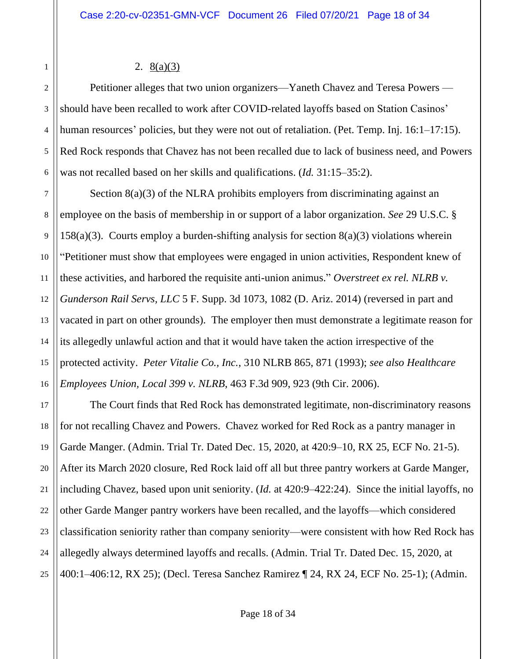## 2. 8(a)(3)

1

2 3 4 5 6 Petitioner alleges that two union organizers—Yaneth Chavez and Teresa Powers should have been recalled to work after COVID-related layoffs based on Station Casinos' human resources' policies, but they were not out of retaliation. (Pet. Temp. Inj. 16:1–17:15). Red Rock responds that Chavez has not been recalled due to lack of business need, and Powers was not recalled based on her skills and qualifications. (*Id.* 31:15–35:2).

7 8 9 10 11 12 13 14 15 16 Section 8(a)(3) of the NLRA prohibits employers from discriminating against an employee on the basis of membership in or support of a labor organization. *See* 29 U.S.C. § 158(a)(3). Courts employ a burden-shifting analysis for section  $8(a)(3)$  violations wherein "Petitioner must show that employees were engaged in union activities, Respondent knew of these activities, and harbored the requisite anti-union animus." *Overstreet ex rel. NLRB v. Gunderson Rail Servs, LLC* 5 F. Supp. 3d 1073, 1082 (D. Ariz. 2014) (reversed in part and vacated in part on other grounds). The employer then must demonstrate a legitimate reason for its allegedly unlawful action and that it would have taken the action irrespective of the protected activity. *Peter Vitalie Co., Inc.*, 310 NLRB 865, 871 (1993); *see also Healthcare Employees Union, Local 399 v. NLRB*, 463 F.3d 909, 923 (9th Cir. 2006).

17 18 19 20 21 22 23 24 25 The Court finds that Red Rock has demonstrated legitimate, non-discriminatory reasons for not recalling Chavez and Powers. Chavez worked for Red Rock as a pantry manager in Garde Manger. (Admin. Trial Tr. Dated Dec. 15, 2020, at 420:9–10, RX 25, ECF No. 21-5). After its March 2020 closure, Red Rock laid off all but three pantry workers at Garde Manger, including Chavez, based upon unit seniority. (*Id.* at 420:9–422:24). Since the initial layoffs, no other Garde Manger pantry workers have been recalled, and the layoffs—which considered classification seniority rather than company seniority—were consistent with how Red Rock has allegedly always determined layoffs and recalls. (Admin. Trial Tr. Dated Dec. 15, 2020, at 400:1–406:12, RX 25); (Decl. Teresa Sanchez Ramirez ¶ 24, RX 24, ECF No. 25-1); (Admin.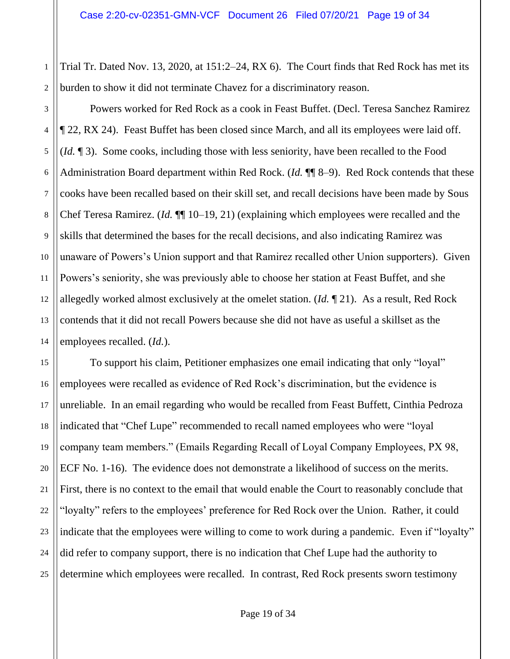1 2 Trial Tr. Dated Nov. 13, 2020, at 151:2–24, RX 6). The Court finds that Red Rock has met its burden to show it did not terminate Chavez for a discriminatory reason.

3

4

5

6

7

8

9

10

11

12

13

14

Powers worked for Red Rock as a cook in Feast Buffet. (Decl. Teresa Sanchez Ramirez ¶ 22, RX 24). Feast Buffet has been closed since March, and all its employees were laid off. (*Id.* ¶ 3). Some cooks, including those with less seniority, have been recalled to the Food Administration Board department within Red Rock. (*Id.* ¶¶ 8–9). Red Rock contends that these cooks have been recalled based on their skill set, and recall decisions have been made by Sous Chef Teresa Ramirez. (*Id.* ¶¶ 10–19, 21) (explaining which employees were recalled and the skills that determined the bases for the recall decisions, and also indicating Ramirez was unaware of Powers's Union support and that Ramirez recalled other Union supporters). Given Powers's seniority, she was previously able to choose her station at Feast Buffet, and she allegedly worked almost exclusively at the omelet station. (*Id.* ¶ 21). As a result, Red Rock contends that it did not recall Powers because she did not have as useful a skillset as the employees recalled. (*Id.*).

15 16 17 18 19 20 21 22 23 24 25 To support his claim, Petitioner emphasizes one email indicating that only "loyal" employees were recalled as evidence of Red Rock's discrimination, but the evidence is unreliable. In an email regarding who would be recalled from Feast Buffett, Cinthia Pedroza indicated that "Chef Lupe" recommended to recall named employees who were "loyal company team members." (Emails Regarding Recall of Loyal Company Employees, PX 98, ECF No. 1-16). The evidence does not demonstrate a likelihood of success on the merits. First, there is no context to the email that would enable the Court to reasonably conclude that "loyalty" refers to the employees' preference for Red Rock over the Union. Rather, it could indicate that the employees were willing to come to work during a pandemic. Even if "loyalty" did refer to company support, there is no indication that Chef Lupe had the authority to determine which employees were recalled. In contrast, Red Rock presents sworn testimony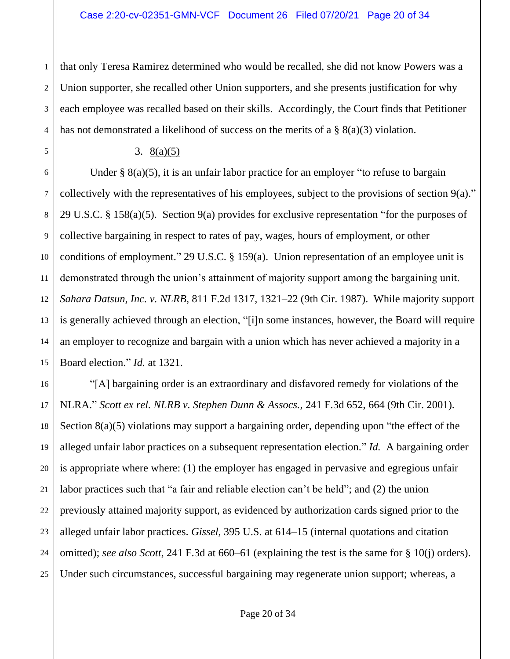2 3 4 that only Teresa Ramirez determined who would be recalled, she did not know Powers was a Union supporter, she recalled other Union supporters, and she presents justification for why each employee was recalled based on their skills. Accordingly, the Court finds that Petitioner has not demonstrated a likelihood of success on the merits of a § 8(a)(3) violation.

1

#### 3. 8(a)(5)

15 Under  $\S$  8(a)(5), it is an unfair labor practice for an employer "to refuse to bargain collectively with the representatives of his employees, subject to the provisions of section 9(a)." 29 U.S.C. § 158(a)(5). Section 9(a) provides for exclusive representation "for the purposes of collective bargaining in respect to rates of pay, wages, hours of employment, or other conditions of employment." 29 U.S.C. § 159(a). Union representation of an employee unit is demonstrated through the union's attainment of majority support among the bargaining unit. *Sahara Datsun, Inc. v. NLRB*, 811 F.2d 1317, 1321–22 (9th Cir. 1987). While majority support is generally achieved through an election, "[i]n some instances, however, the Board will require an employer to recognize and bargain with a union which has never achieved a majority in a Board election." *Id.* at 1321.

16 17 18 19 20 21 22 23 24 25 "[A] bargaining order is an extraordinary and disfavored remedy for violations of the NLRA." *Scott ex rel. NLRB v. Stephen Dunn & Assocs.*, 241 F.3d 652, 664 (9th Cir. 2001). Section 8(a)(5) violations may support a bargaining order, depending upon "the effect of the alleged unfair labor practices on a subsequent representation election." *Id.* A bargaining order is appropriate where where: (1) the employer has engaged in pervasive and egregious unfair labor practices such that "a fair and reliable election can't be held"; and (2) the union previously attained majority support, as evidenced by authorization cards signed prior to the alleged unfair labor practices. *Gissel*, 395 U.S. at 614–15 (internal quotations and citation omitted); *see also Scott*, 241 F.3d at 660–61 (explaining the test is the same for § 10(j) orders). Under such circumstances, successful bargaining may regenerate union support; whereas, a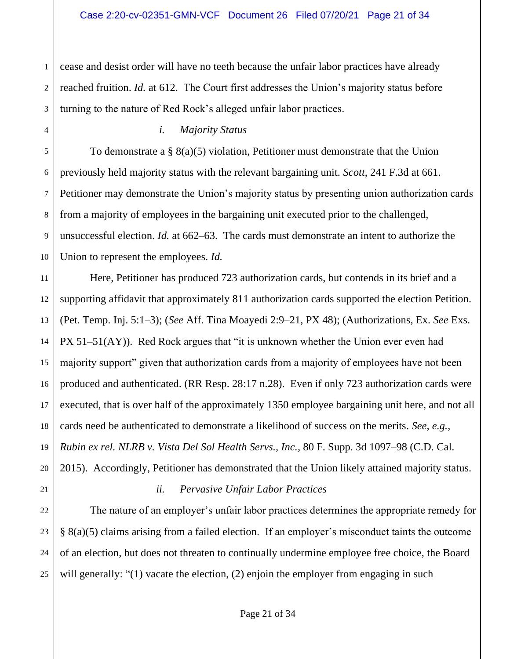1 2 3 cease and desist order will have no teeth because the unfair labor practices have already reached fruition. *Id.* at 612. The Court first addresses the Union's majority status before turning to the nature of Red Rock's alleged unfair labor practices.

## *i. Majority Status*

To demonstrate a § 8(a)(5) violation, Petitioner must demonstrate that the Union previously held majority status with the relevant bargaining unit. *Scott*, 241 F.3d at 661. Petitioner may demonstrate the Union's majority status by presenting union authorization cards from a majority of employees in the bargaining unit executed prior to the challenged, unsuccessful election. *Id.* at 662–63. The cards must demonstrate an intent to authorize the Union to represent the employees. *Id.*

11 12 13 14 15 16 17 18 19 20 Here, Petitioner has produced 723 authorization cards, but contends in its brief and a supporting affidavit that approximately 811 authorization cards supported the election Petition. (Pet. Temp. Inj. 5:1–3); (*See* Aff. Tina Moayedi 2:9–21, PX 48); (Authorizations, Ex. *See* Exs. PX 51–51(AY)). Red Rock argues that "it is unknown whether the Union ever even had majority support" given that authorization cards from a majority of employees have not been produced and authenticated. (RR Resp. 28:17 n.28). Even if only 723 authorization cards were executed, that is over half of the approximately 1350 employee bargaining unit here, and not all cards need be authenticated to demonstrate a likelihood of success on the merits. *See, e.g.*, *Rubin ex rel. NLRB v. Vista Del Sol Health Servs., Inc.*, 80 F. Supp. 3d 1097–98 (C.D. Cal. 2015). Accordingly, Petitioner has demonstrated that the Union likely attained majority status.

# 21

22

23

24

25

4

5

6

7

8

9

10

# *ii. Pervasive Unfair Labor Practices*

The nature of an employer's unfair labor practices determines the appropriate remedy for § 8(a)(5) claims arising from a failed election. If an employer's misconduct taints the outcome of an election, but does not threaten to continually undermine employee free choice, the Board will generally: "(1) vacate the election, (2) enjoin the employer from engaging in such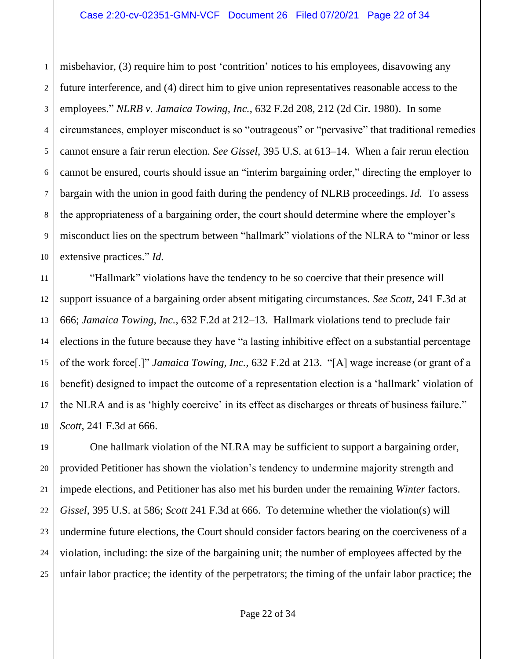1 2 3 4 5 6 7 8 9 10 misbehavior, (3) require him to post 'contrition' notices to his employees, disavowing any future interference, and (4) direct him to give union representatives reasonable access to the employees." *NLRB v. Jamaica Towing, Inc.*, 632 F.2d 208, 212 (2d Cir. 1980). In some circumstances, employer misconduct is so "outrageous" or "pervasive" that traditional remedies cannot ensure a fair rerun election. *See Gissel*, 395 U.S. at 613–14. When a fair rerun election cannot be ensured, courts should issue an "interim bargaining order," directing the employer to bargain with the union in good faith during the pendency of NLRB proceedings. *Id.* To assess the appropriateness of a bargaining order, the court should determine where the employer's misconduct lies on the spectrum between "hallmark" violations of the NLRA to "minor or less extensive practices." *Id.*

11 12 13 14 15 16 17 18 "Hallmark" violations have the tendency to be so coercive that their presence will support issuance of a bargaining order absent mitigating circumstances. *See Scott*, 241 F.3d at 666; *Jamaica Towing, Inc.*, 632 F.2d at 212–13. Hallmark violations tend to preclude fair elections in the future because they have "a lasting inhibitive effect on a substantial percentage of the work force[.]" *Jamaica Towing, Inc.*, 632 F.2d at 213. "[A] wage increase (or grant of a benefit) designed to impact the outcome of a representation election is a 'hallmark' violation of the NLRA and is as 'highly coercive' in its effect as discharges or threats of business failure." *Scott*, 241 F.3d at 666.

One hallmark violation of the NLRA may be sufficient to support a bargaining order, provided Petitioner has shown the violation's tendency to undermine majority strength and impede elections, and Petitioner has also met his burden under the remaining *Winter* factors. *Gissel*, 395 U.S. at 586; *Scott* 241 F.3d at 666. To determine whether the violation(s) will undermine future elections, the Court should consider factors bearing on the coerciveness of a violation, including: the size of the bargaining unit; the number of employees affected by the unfair labor practice; the identity of the perpetrators; the timing of the unfair labor practice; the

19

20

21

22

23

24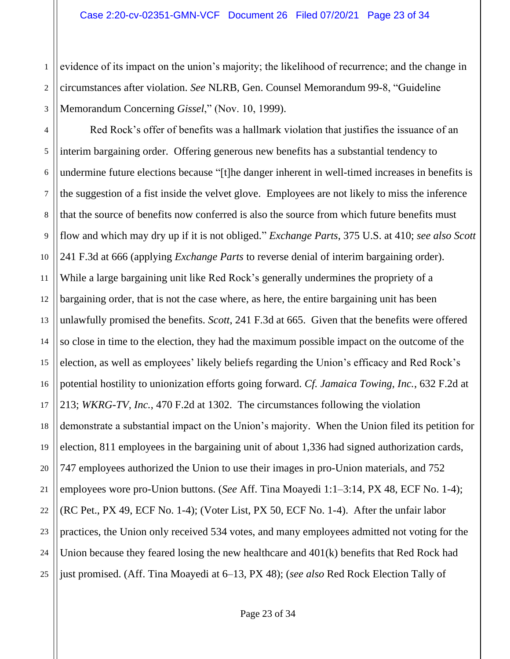1 2 3 evidence of its impact on the union's majority; the likelihood of recurrence; and the change in circumstances after violation. *See* NLRB, Gen. Counsel Memorandum 99-8, "Guideline Memorandum Concerning *Gissel*," (Nov. 10, 1999).

4 5 6 7 8 9 10 11 12 13 14 15 16 17 18 19 20 21 22 23 24 25 Red Rock's offer of benefits was a hallmark violation that justifies the issuance of an interim bargaining order. Offering generous new benefits has a substantial tendency to undermine future elections because "[t]he danger inherent in well-timed increases in benefits is the suggestion of a fist inside the velvet glove. Employees are not likely to miss the inference that the source of benefits now conferred is also the source from which future benefits must flow and which may dry up if it is not obliged." *Exchange Parts*, 375 U.S. at 410; *see also Scott* 241 F.3d at 666 (applying *Exchange Parts* to reverse denial of interim bargaining order). While a large bargaining unit like Red Rock's generally undermines the propriety of a bargaining order, that is not the case where, as here, the entire bargaining unit has been unlawfully promised the benefits. *Scott*, 241 F.3d at 665. Given that the benefits were offered so close in time to the election, they had the maximum possible impact on the outcome of the election, as well as employees' likely beliefs regarding the Union's efficacy and Red Rock's potential hostility to unionization efforts going forward. *Cf. Jamaica Towing, Inc.*, 632 F.2d at 213; *WKRG-TV, Inc.*, 470 F.2d at 1302. The circumstances following the violation demonstrate a substantial impact on the Union's majority. When the Union filed its petition for election, 811 employees in the bargaining unit of about 1,336 had signed authorization cards, 747 employees authorized the Union to use their images in pro-Union materials, and 752 employees wore pro-Union buttons. (*See* Aff. Tina Moayedi 1:1–3:14, PX 48, ECF No. 1-4); (RC Pet., PX 49, ECF No. 1-4); (Voter List, PX 50, ECF No. 1-4). After the unfair labor practices, the Union only received 534 votes, and many employees admitted not voting for the Union because they feared losing the new healthcare and 401(k) benefits that Red Rock had just promised. (Aff. Tina Moayedi at 6–13, PX 48); (*see also* Red Rock Election Tally of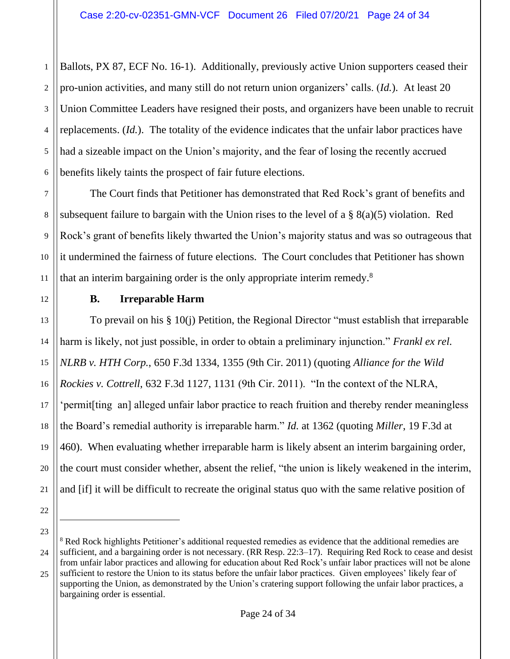1 2 3 4 5 6 Ballots, PX 87, ECF No. 16-1). Additionally, previously active Union supporters ceased their pro-union activities, and many still do not return union organizers' calls. (*Id.*). At least 20 Union Committee Leaders have resigned their posts, and organizers have been unable to recruit replacements. (*Id.*). The totality of the evidence indicates that the unfair labor practices have had a sizeable impact on the Union's majority, and the fear of losing the recently accrued benefits likely taints the prospect of fair future elections.

The Court finds that Petitioner has demonstrated that Red Rock's grant of benefits and subsequent failure to bargain with the Union rises to the level of a § 8(a)(5) violation. Red Rock's grant of benefits likely thwarted the Union's majority status and was so outrageous that it undermined the fairness of future elections. The Court concludes that Petitioner has shown that an interim bargaining order is the only appropriate interim remedy.<sup>8</sup>

**B. Irreparable Harm**

To prevail on his § 10(j) Petition, the Regional Director "must establish that irreparable harm is likely, not just possible, in order to obtain a preliminary injunction." *Frankl ex rel. NLRB v. HTH Corp.*, 650 F.3d 1334, 1355 (9th Cir. 2011) (quoting *Alliance for the Wild Rockies v. Cottrell*, 632 F.3d 1127, 1131 (9th Cir. 2011). "In the context of the NLRA, 'permit[ting an] alleged unfair labor practice to reach fruition and thereby render meaningless the Board's remedial authority is irreparable harm." *Id.* at 1362 (quoting *Miller*, 19 F.3d at 460). When evaluating whether irreparable harm is likely absent an interim bargaining order, the court must consider whether, absent the relief, "the union is likely weakened in the interim, and [if] it will be difficult to recreate the original status quo with the same relative position of

23

7

8

9

10

11

12

13

14

15

16

17

18

19

20

21

<sup>24</sup> 25 <sup>8</sup> Red Rock highlights Petitioner's additional requested remedies as evidence that the additional remedies are sufficient, and a bargaining order is not necessary. (RR Resp. 22:3–17). Requiring Red Rock to cease and desist from unfair labor practices and allowing for education about Red Rock's unfair labor practices will not be alone sufficient to restore the Union to its status before the unfair labor practices. Given employees' likely fear of supporting the Union, as demonstrated by the Union's cratering support following the unfair labor practices, a bargaining order is essential.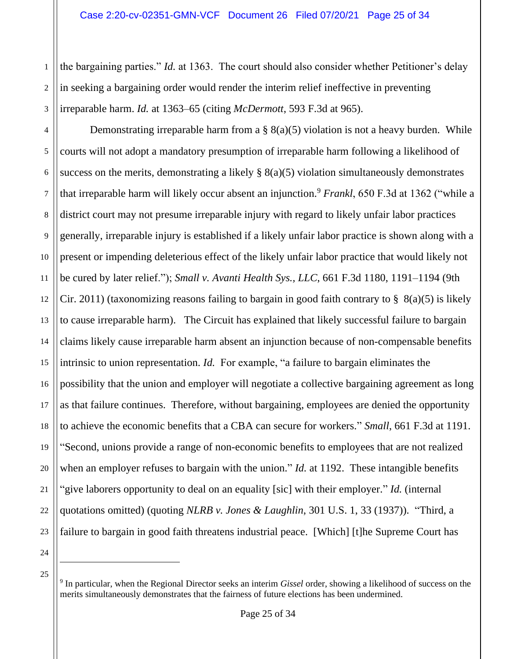2 3 the bargaining parties." *Id.* at 1363. The court should also consider whether Petitioner's delay in seeking a bargaining order would render the interim relief ineffective in preventing irreparable harm. *Id.* at 1363–65 (citing *McDermott*, 593 F.3d at 965).

4 5 6 7 8 9 10 11 12 13 14 15 16 17 18 19 20 21 22 23 Demonstrating irreparable harm from a  $\S$  8(a)(5) violation is not a heavy burden. While courts will not adopt a mandatory presumption of irreparable harm following a likelihood of success on the merits, demonstrating a likely  $\S$  8(a)(5) violation simultaneously demonstrates that irreparable harm will likely occur absent an injunction.<sup>9</sup> *Frankl*, 650 F.3d at 1362 ("while a district court may not presume irreparable injury with regard to likely unfair labor practices generally, irreparable injury is established if a likely unfair labor practice is shown along with a present or impending deleterious effect of the likely unfair labor practice that would likely not be cured by later relief."); *Small v. Avanti Health Sys., LLC*, 661 F.3d 1180, 1191–1194 (9th Cir. 2011) (taxonomizing reasons failing to bargain in good faith contrary to  $\S$  8(a)(5) is likely to cause irreparable harm). The Circuit has explained that likely successful failure to bargain claims likely cause irreparable harm absent an injunction because of non-compensable benefits intrinsic to union representation. *Id.* For example, "a failure to bargain eliminates the possibility that the union and employer will negotiate a collective bargaining agreement as long as that failure continues. Therefore, without bargaining, employees are denied the opportunity to achieve the economic benefits that a CBA can secure for workers." *Small*, 661 F.3d at 1191. "Second, unions provide a range of non-economic benefits to employees that are not realized when an employer refuses to bargain with the union." *Id.* at 1192. These intangible benefits "give laborers opportunity to deal on an equality [sic] with their employer." *Id.* (internal quotations omitted) (quoting *NLRB v. Jones & Laughlin*, 301 U.S. 1, 33 (1937)). "Third, a failure to bargain in good faith threatens industrial peace. [Which] [t]he Supreme Court has

24 25

<sup>9</sup> In particular, when the Regional Director seeks an interim *Gissel* order, showing a likelihood of success on the merits simultaneously demonstrates that the fairness of future elections has been undermined.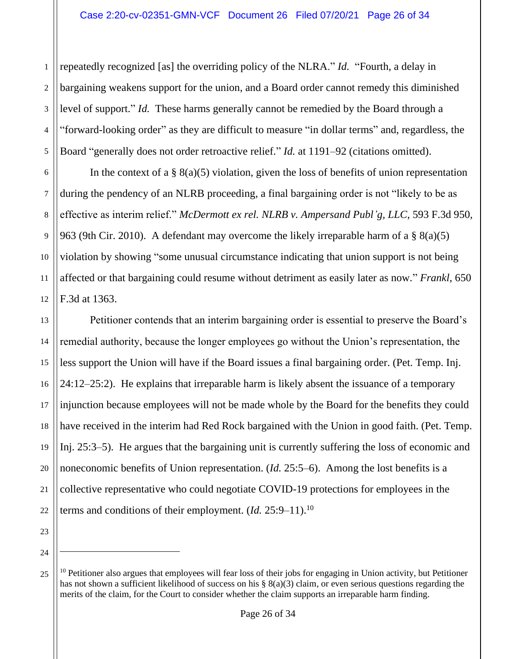2 3 4 5 repeatedly recognized [as] the overriding policy of the NLRA." *Id.* "Fourth, a delay in bargaining weakens support for the union, and a Board order cannot remedy this diminished level of support." *Id.* These harms generally cannot be remedied by the Board through a "forward-looking order" as they are difficult to measure "in dollar terms" and, regardless, the Board "generally does not order retroactive relief." *Id.* at 1191–92 (citations omitted).

6 10 12 In the context of a  $\S$  8(a)(5) violation, given the loss of benefits of union representation during the pendency of an NLRB proceeding, a final bargaining order is not "likely to be as effective as interim relief." *McDermott ex rel. NLRB v. Ampersand Publ'g, LLC*, 593 F.3d 950, 963 (9th Cir. 2010). A defendant may overcome the likely irreparable harm of a § 8(a)(5) violation by showing "some unusual circumstance indicating that union support is not being affected or that bargaining could resume without detriment as easily later as now." *Frankl*, 650 F.3d at 1363.

13 14 15 16 17 18 19 20 21 22 Petitioner contends that an interim bargaining order is essential to preserve the Board's remedial authority, because the longer employees go without the Union's representation, the less support the Union will have if the Board issues a final bargaining order. (Pet. Temp. Inj. 24:12–25:2). He explains that irreparable harm is likely absent the issuance of a temporary injunction because employees will not be made whole by the Board for the benefits they could have received in the interim had Red Rock bargained with the Union in good faith. (Pet. Temp. Inj. 25:3–5). He argues that the bargaining unit is currently suffering the loss of economic and noneconomic benefits of Union representation. (*Id.* 25:5–6). Among the lost benefits is a collective representative who could negotiate COVID-19 protections for employees in the terms and conditions of their employment. (*Id.* 25:9–11).<sup>10</sup>

24

25

23

1

7

8

9

 $10$  Petitioner also argues that employees will fear loss of their jobs for engaging in Union activity, but Petitioner has not shown a sufficient likelihood of success on his § 8(a)(3) claim, or even serious questions regarding the merits of the claim, for the Court to consider whether the claim supports an irreparable harm finding.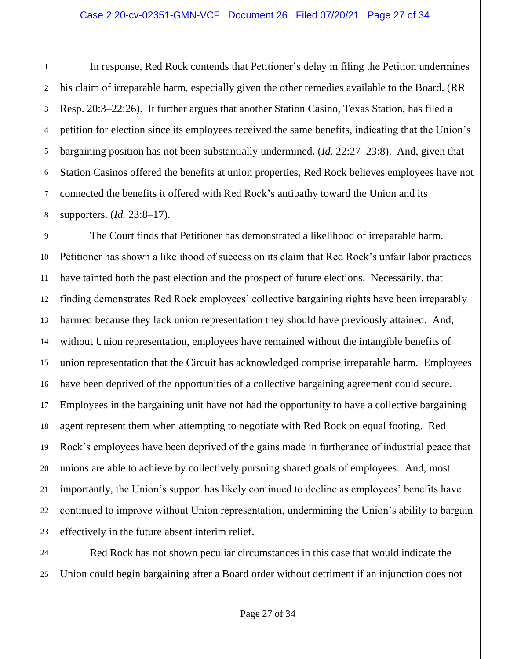1

3

4

7

8

2 5 6 In response, Red Rock contends that Petitioner's delay in filing the Petition undermines his claim of irreparable harm, especially given the other remedies available to the Board. (RR Resp. 20:3–22:26). It further argues that another Station Casino, Texas Station, has filed a petition for election since its employees received the same benefits, indicating that the Union's bargaining position has not been substantially undermined. (*Id.* 22:27–23:8). And, given that Station Casinos offered the benefits at union properties, Red Rock believes employees have not connected the benefits it offered with Red Rock's antipathy toward the Union and its supporters. (*Id.* 23:8–17).

9 10 11 12 13 14 15 16 17 18 19 20 21 22 23 The Court finds that Petitioner has demonstrated a likelihood of irreparable harm. Petitioner has shown a likelihood of success on its claim that Red Rock's unfair labor practices have tainted both the past election and the prospect of future elections. Necessarily, that finding demonstrates Red Rock employees' collective bargaining rights have been irreparably harmed because they lack union representation they should have previously attained. And, without Union representation, employees have remained without the intangible benefits of union representation that the Circuit has acknowledged comprise irreparable harm. Employees have been deprived of the opportunities of a collective bargaining agreement could secure. Employees in the bargaining unit have not had the opportunity to have a collective bargaining agent represent them when attempting to negotiate with Red Rock on equal footing. Red Rock's employees have been deprived of the gains made in furtherance of industrial peace that unions are able to achieve by collectively pursuing shared goals of employees. And, most importantly, the Union's support has likely continued to decline as employees' benefits have continued to improve without Union representation, undermining the Union's ability to bargain effectively in the future absent interim relief.

24 25 Red Rock has not shown peculiar circumstances in this case that would indicate the Union could begin bargaining after a Board order without detriment if an injunction does not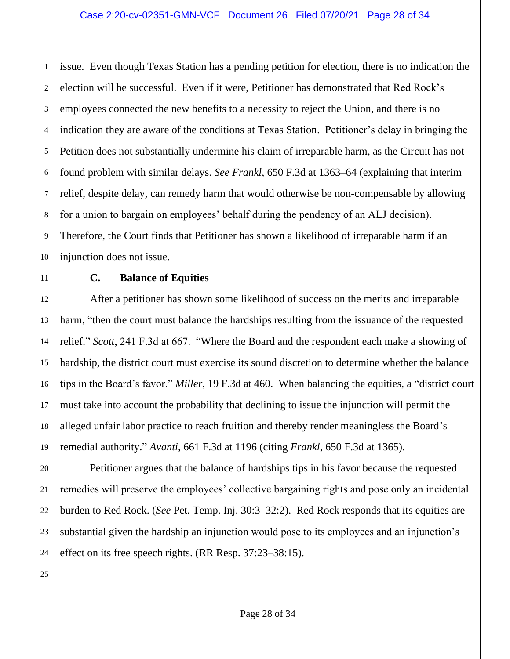1 2 3 4 issue. Even though Texas Station has a pending petition for election, there is no indication the election will be successful. Even if it were, Petitioner has demonstrated that Red Rock's employees connected the new benefits to a necessity to reject the Union, and there is no indication they are aware of the conditions at Texas Station. Petitioner's delay in bringing the Petition does not substantially undermine his claim of irreparable harm, as the Circuit has not found problem with similar delays. *See Frankl*, 650 F.3d at 1363–64 (explaining that interim relief, despite delay, can remedy harm that would otherwise be non-compensable by allowing for a union to bargain on employees' behalf during the pendency of an ALJ decision). Therefore, the Court finds that Petitioner has shown a likelihood of irreparable harm if an injunction does not issue.

## **C. Balance of Equities**

After a petitioner has shown some likelihood of success on the merits and irreparable harm, "then the court must balance the hardships resulting from the issuance of the requested relief." *Scott*, 241 F.3d at 667. "Where the Board and the respondent each make a showing of hardship, the district court must exercise its sound discretion to determine whether the balance tips in the Board's favor." *Miller*, 19 F.3d at 460. When balancing the equities, a "district court must take into account the probability that declining to issue the injunction will permit the alleged unfair labor practice to reach fruition and thereby render meaningless the Board's remedial authority." *Avanti*, 661 F.3d at 1196 (citing *Frankl*, 650 F.3d at 1365).

Petitioner argues that the balance of hardships tips in his favor because the requested remedies will preserve the employees' collective bargaining rights and pose only an incidental burden to Red Rock. (*See* Pet. Temp. Inj. 30:3–32:2). Red Rock responds that its equities are substantial given the hardship an injunction would pose to its employees and an injunction's effect on its free speech rights. (RR Resp. 37:23–38:15).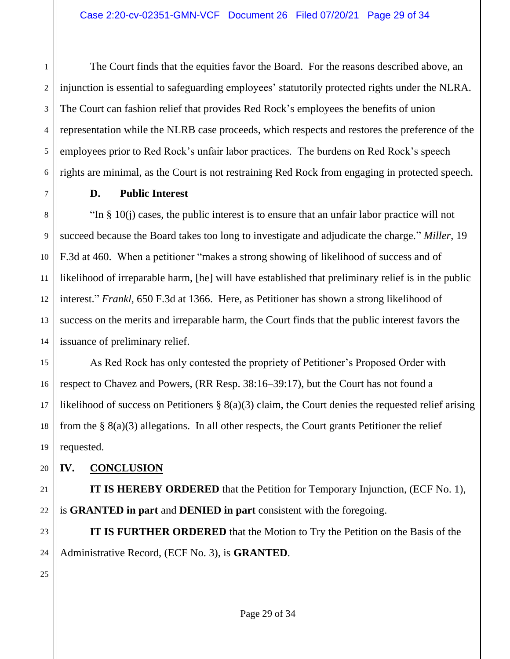2 The Court finds that the equities favor the Board. For the reasons described above, an injunction is essential to safeguarding employees' statutorily protected rights under the NLRA. The Court can fashion relief that provides Red Rock's employees the benefits of union representation while the NLRB case proceeds, which respects and restores the preference of the employees prior to Red Rock's unfair labor practices. The burdens on Red Rock's speech rights are minimal, as the Court is not restraining Red Rock from engaging in protected speech.

# **D. Public Interest**

"In § 10(j) cases, the public interest is to ensure that an unfair labor practice will not succeed because the Board takes too long to investigate and adjudicate the charge." *Miller*, 19 F.3d at 460. When a petitioner "makes a strong showing of likelihood of success and of likelihood of irreparable harm, [he] will have established that preliminary relief is in the public interest." *Frankl*, 650 F.3d at 1366. Here, as Petitioner has shown a strong likelihood of success on the merits and irreparable harm, the Court finds that the public interest favors the issuance of preliminary relief.

As Red Rock has only contested the propriety of Petitioner's Proposed Order with respect to Chavez and Powers, (RR Resp. 38:16–39:17), but the Court has not found a likelihood of success on Petitioners § 8(a)(3) claim, the Court denies the requested relief arising from the  $\S$  8(a)(3) allegations. In all other respects, the Court grants Petitioner the relief requested.

# **IV. CONCLUSION**

**IT IS HEREBY ORDERED** that the Petition for Temporary Injunction, (ECF No. 1), is **GRANTED in part** and **DENIED in part** consistent with the foregoing.

**IT IS FURTHER ORDERED** that the Motion to Try the Petition on the Basis of the Administrative Record, (ECF No. 3), is **GRANTED**.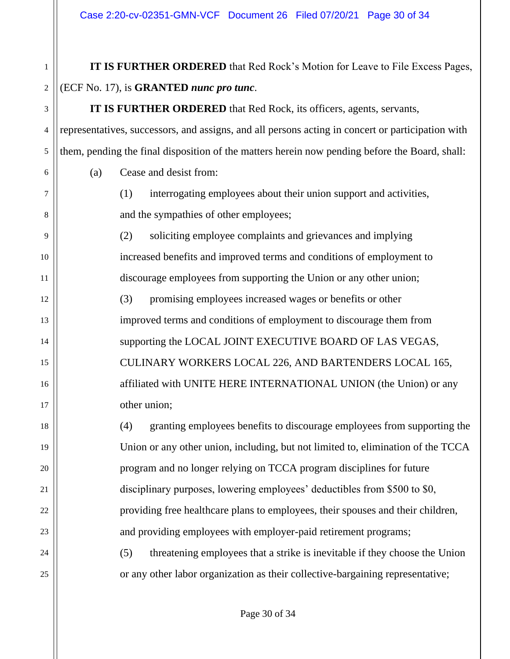**IT IS FURTHER ORDERED** that Red Rock's Motion for Leave to File Excess Pages, (ECF No. 17), is **GRANTED** *nunc pro tunc*.

**IT IS FURTHER ORDERED** that Red Rock, its officers, agents, servants, representatives, successors, and assigns, and all persons acting in concert or participation with them, pending the final disposition of the matters herein now pending before the Board, shall:

(a) Cease and desist from:

1

2

3

4

5

6

7

8

9

10

11

12

13

14

15

16

17

18

19

20

21

22

23

24

25

(1) interrogating employees about their union support and activities, and the sympathies of other employees;

(2) soliciting employee complaints and grievances and implying increased benefits and improved terms and conditions of employment to discourage employees from supporting the Union or any other union;

(3) promising employees increased wages or benefits or other improved terms and conditions of employment to discourage them from supporting the LOCAL JOINT EXECUTIVE BOARD OF LAS VEGAS, CULINARY WORKERS LOCAL 226, AND BARTENDERS LOCAL 165, affiliated with UNITE HERE INTERNATIONAL UNION (the Union) or any other union;

(4) granting employees benefits to discourage employees from supporting the Union or any other union, including, but not limited to, elimination of the TCCA program and no longer relying on TCCA program disciplines for future disciplinary purposes, lowering employees' deductibles from \$500 to \$0, providing free healthcare plans to employees, their spouses and their children, and providing employees with employer-paid retirement programs;

(5) threatening employees that a strike is inevitable if they choose the Union or any other labor organization as their collective-bargaining representative;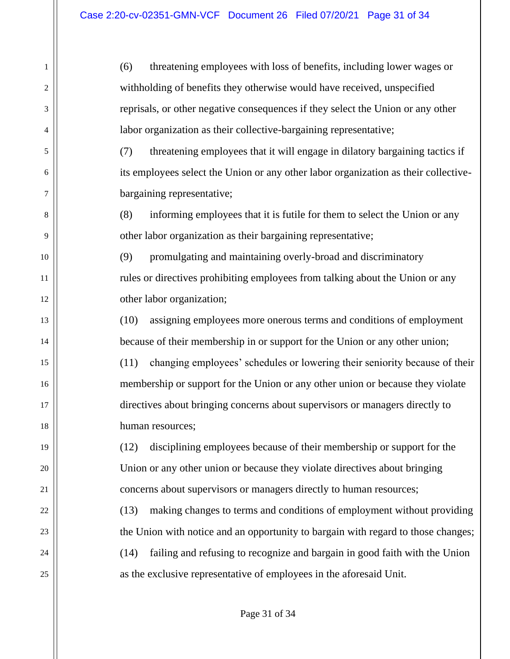(6) threatening employees with loss of benefits, including lower wages or withholding of benefits they otherwise would have received, unspecified reprisals, or other negative consequences if they select the Union or any other labor organization as their collective-bargaining representative;

(7) threatening employees that it will engage in dilatory bargaining tactics if its employees select the Union or any other labor organization as their collectivebargaining representative;

(8) informing employees that it is futile for them to select the Union or any other labor organization as their bargaining representative;

(9) promulgating and maintaining overly-broad and discriminatory rules or directives prohibiting employees from talking about the Union or any other labor organization;

(10) assigning employees more onerous terms and conditions of employment because of their membership in or support for the Union or any other union;

(11) changing employees' schedules or lowering their seniority because of their membership or support for the Union or any other union or because they violate directives about bringing concerns about supervisors or managers directly to human resources;

(12) disciplining employees because of their membership or support for the Union or any other union or because they violate directives about bringing concerns about supervisors or managers directly to human resources;

(13) making changes to terms and conditions of employment without providing the Union with notice and an opportunity to bargain with regard to those changes; (14) failing and refusing to recognize and bargain in good faith with the Union as the exclusive representative of employees in the aforesaid Unit.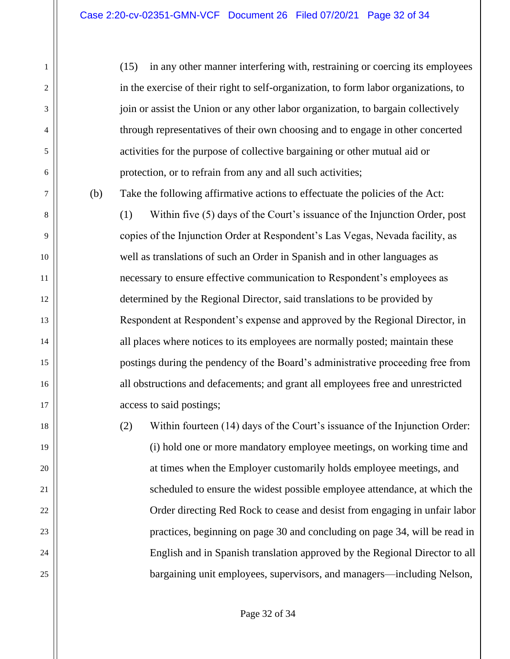1

2

3

4

5

6

7

8

9

10

11

12

13

14

15

16

17

18

19

20

21

22

23

24

25

(15) in any other manner interfering with, restraining or coercing its employees in the exercise of their right to self-organization, to form labor organizations, to join or assist the Union or any other labor organization, to bargain collectively through representatives of their own choosing and to engage in other concerted activities for the purpose of collective bargaining or other mutual aid or protection, or to refrain from any and all such activities;

(b) Take the following affirmative actions to effectuate the policies of the Act:

(1) Within five (5) days of the Court's issuance of the Injunction Order, post copies of the Injunction Order at Respondent's Las Vegas, Nevada facility, as well as translations of such an Order in Spanish and in other languages as necessary to ensure effective communication to Respondent's employees as determined by the Regional Director, said translations to be provided by Respondent at Respondent's expense and approved by the Regional Director, in all places where notices to its employees are normally posted; maintain these postings during the pendency of the Board's administrative proceeding free from all obstructions and defacements; and grant all employees free and unrestricted access to said postings;

(2) Within fourteen (14) days of the Court's issuance of the Injunction Order: (i) hold one or more mandatory employee meetings, on working time and at times when the Employer customarily holds employee meetings, and scheduled to ensure the widest possible employee attendance, at which the Order directing Red Rock to cease and desist from engaging in unfair labor practices, beginning on page 30 and concluding on page 34, will be read in English and in Spanish translation approved by the Regional Director to all bargaining unit employees, supervisors, and managers—including Nelson,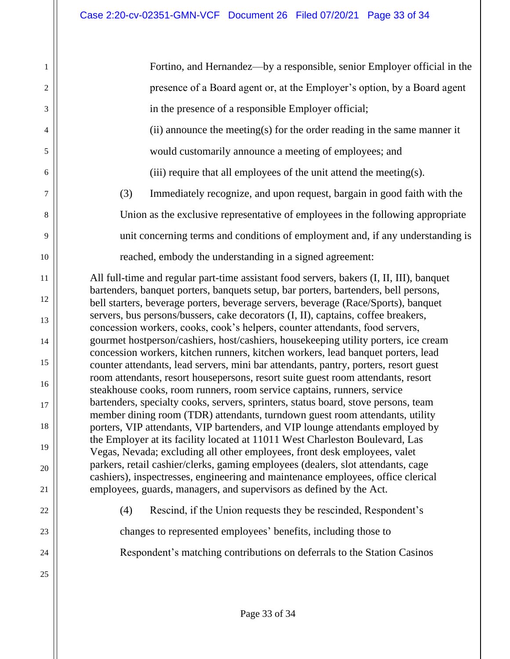| 1              | Fortino, and Hernandez—by a responsible, senior Employer official in the                                                                                                  |
|----------------|---------------------------------------------------------------------------------------------------------------------------------------------------------------------------|
| $\overline{2}$ | presence of a Board agent or, at the Employer's option, by a Board agent                                                                                                  |
|                |                                                                                                                                                                           |
| 3              | in the presence of a responsible Employer official;                                                                                                                       |
| $\overline{4}$ | (ii) announce the meeting(s) for the order reading in the same manner it                                                                                                  |
| 5              | would customarily announce a meeting of employees; and                                                                                                                    |
| 6              | (iii) require that all employees of the unit attend the meeting(s).                                                                                                       |
| 7              | (3)<br>Immediately recognize, and upon request, bargain in good faith with the                                                                                            |
| 8              | Union as the exclusive representative of employees in the following appropriate                                                                                           |
| 9              | unit concerning terms and conditions of employment and, if any understanding is                                                                                           |
| 10             | reached, embody the understanding in a signed agreement:                                                                                                                  |
| 11             | All full-time and regular part-time assistant food servers, bakers (I, II, III), banquet                                                                                  |
| 12             | bartenders, banquet porters, banquets setup, bar porters, bartenders, bell persons,<br>bell starters, beverage porters, beverage servers, beverage (Race/Sports), banquet |
| 13             | servers, bus persons/bussers, cake decorators (I, II), captains, coffee breakers,                                                                                         |
| 14             | concession workers, cooks, cook's helpers, counter attendants, food servers,<br>gourmet hostperson/cashiers, host/cashiers, housekeeping utility porters, ice cream       |
| 15             | concession workers, kitchen runners, kitchen workers, lead banquet porters, lead                                                                                          |
|                | counter attendants, lead servers, mini bar attendants, pantry, porters, resort guest<br>room attendants, resort housepersons, resort suite guest room attendants, resort  |
| 16             | steakhouse cooks, room runners, room service captains, runners, service                                                                                                   |
| 17             | bartenders, specialty cooks, servers, sprinters, status board, stove persons, team<br>member dining room (TDR) attendants, turndown guest room attendants, utility        |
| 18             | porters, VIP attendants, VIP bartenders, and VIP lounge attendants employed by                                                                                            |
| 19             | the Employer at its facility located at 11011 West Charleston Boulevard, Las<br>Vegas, Nevada; excluding all other employees, front desk employees, valet                 |
| 20             | parkers, retail cashier/clerks, gaming employees (dealers, slot attendants, cage                                                                                          |
| 21             | cashiers), inspectresses, engineering and maintenance employees, office clerical<br>employees, guards, managers, and supervisors as defined by the Act.                   |
| 22             | Rescind, if the Union requests they be rescinded, Respondent's<br>(4)                                                                                                     |
| 23             | changes to represented employees' benefits, including those to                                                                                                            |
| 24             | Respondent's matching contributions on deferrals to the Station Casinos                                                                                                   |
| 25             |                                                                                                                                                                           |
|                |                                                                                                                                                                           |